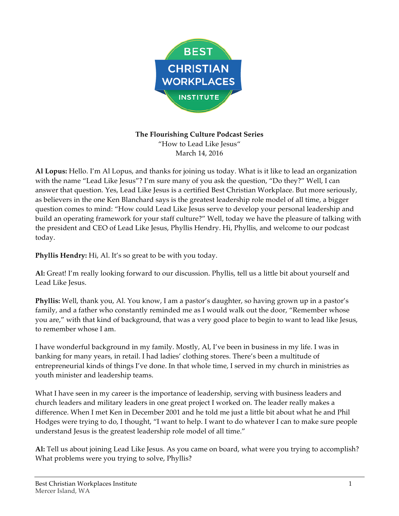

## **The Flourishing Culture Podcast Series** "How to Lead Like Jesus" March 14, 2016

**Al Lopus:** Hello. I'm Al Lopus, and thanks for joining us today. What is it like to lead an organization with the name "Lead Like Jesus"? I'm sure many of you ask the question, "Do they?" Well, I can answer that question. Yes, Lead Like Jesus is a certified Best Christian Workplace. But more seriously, as believers in the one Ken Blanchard says is the greatest leadership role model of all time, a bigger question comes to mind: "How could Lead Like Jesus serve to develop your personal leadership and build an operating framework for your staff culture?" Well, today we have the pleasure of talking with the president and CEO of Lead Like Jesus, Phyllis Hendry. Hi, Phyllis, and welcome to our podcast today.

**Phyllis Hendry:** Hi, Al. It's so great to be with you today.

**Al:** Great! I'm really looking forward to our discussion. Phyllis, tell us a little bit about yourself and Lead Like Jesus.

**Phyllis:** Well, thank you, Al. You know, I am a pastor's daughter, so having grown up in a pastor's family, and a father who constantly reminded me as I would walk out the door, "Remember whose you are," with that kind of background, that was a very good place to begin to want to lead like Jesus, to remember whose I am.

I have wonderful background in my family. Mostly, Al, I've been in business in my life. I was in banking for many years, in retail. I had ladies' clothing stores. There's been a multitude of entrepreneurial kinds of things I've done. In that whole time, I served in my church in ministries as youth minister and leadership teams.

What I have seen in my career is the importance of leadership, serving with business leaders and church leaders and military leaders in one great project I worked on. The leader really makes a difference. When I met Ken in December 2001 and he told me just a little bit about what he and Phil Hodges were trying to do, I thought, "I want to help. I want to do whatever I can to make sure people understand Jesus is the greatest leadership role model of all time."

**Al:** Tell us about joining Lead Like Jesus. As you came on board, what were you trying to accomplish? What problems were you trying to solve, Phyllis?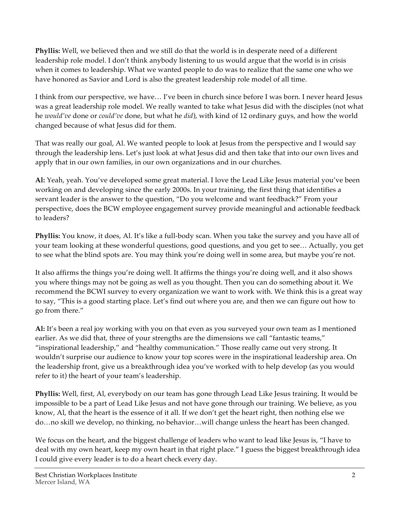**Phyllis:** Well, we believed then and we still do that the world is in desperate need of a different leadership role model. I don't think anybody listening to us would argue that the world is in crisis when it comes to leadership. What we wanted people to do was to realize that the same one who we have honored as Savior and Lord is also the greatest leadership role model of all time.

I think from our perspective, we have… I've been in church since before I was born. I never heard Jesus was a great leadership role model. We really wanted to take what Jesus did with the disciples (not what he *would've* done or *could've* done, but what he *did*), with kind of 12 ordinary guys, and how the world changed because of what Jesus did for them.

That was really our goal, Al. We wanted people to look at Jesus from the perspective and I would say through the leadership lens. Let's just look at what Jesus did and then take that into our own lives and apply that in our own families, in our own organizations and in our churches.

**Al:** Yeah, yeah. You've developed some great material. I love the Lead Like Jesus material you've been working on and developing since the early 2000s. In your training, the first thing that identifies a servant leader is the answer to the question, "Do you welcome and want feedback?" From your perspective, does the BCW employee engagement survey provide meaningful and actionable feedback to leaders?

**Phyllis:** You know, it does, Al. It's like a full-body scan. When you take the survey and you have all of your team looking at these wonderful questions, good questions, and you get to see… Actually, you get to see what the blind spots are. You may think you're doing well in some area, but maybe you're not.

It also affirms the things you're doing well. It affirms the things you're doing well, and it also shows you where things may not be going as well as you thought. Then you can do something about it. We recommend the BCWI survey to every organization we want to work with. We think this is a great way to say, "This is a good starting place. Let's find out where you are, and then we can figure out how to go from there."

**Al:** It's been a real joy working with you on that even as you surveyed your own team as I mentioned earlier. As we did that, three of your strengths are the dimensions we call "fantastic teams," "inspirational leadership," and "healthy communication." Those really came out very strong. It wouldn't surprise our audience to know your top scores were in the inspirational leadership area. On the leadership front, give us a breakthrough idea you've worked with to help develop (as you would refer to it) the heart of your team's leadership.

**Phyllis:** Well, first, Al, everybody on our team has gone through Lead Like Jesus training. It would be impossible to be a part of Lead Like Jesus and not have gone through our training. We believe, as you know, Al, that the heart is the essence of it all. If we don't get the heart right, then nothing else we do…no skill we develop, no thinking, no behavior…will change unless the heart has been changed.

We focus on the heart, and the biggest challenge of leaders who want to lead like Jesus is, "I have to deal with my own heart, keep my own heart in that right place." I guess the biggest breakthrough idea I could give every leader is to do a heart check every day.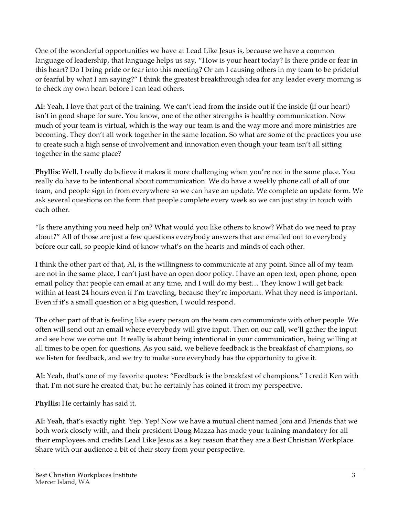One of the wonderful opportunities we have at Lead Like Jesus is, because we have a common language of leadership, that language helps us say, "How is your heart today? Is there pride or fear in this heart? Do I bring pride or fear into this meeting? Or am I causing others in my team to be prideful or fearful by what I am saying?" I think the greatest breakthrough idea for any leader every morning is to check my own heart before I can lead others.

**Al:** Yeah, I love that part of the training. We can't lead from the inside out if the inside (if our heart) isn't in good shape for sure. You know, one of the other strengths is healthy communication. Now much of your team is virtual, which is the way our team is and the way more and more ministries are becoming. They don't all work together in the same location. So what are some of the practices you use to create such a high sense of involvement and innovation even though your team isn't all sitting together in the same place?

**Phyllis:** Well, I really do believe it makes it more challenging when you're not in the same place. You really do have to be intentional about communication. We do have a weekly phone call of all of our team, and people sign in from everywhere so we can have an update. We complete an update form. We ask several questions on the form that people complete every week so we can just stay in touch with each other.

"Is there anything you need help on? What would you like others to know? What do we need to pray about?" All of those are just a few questions everybody answers that are emailed out to everybody before our call, so people kind of know what's on the hearts and minds of each other.

I think the other part of that, Al, is the willingness to communicate at any point. Since all of my team are not in the same place, I can't just have an open door policy. I have an open text, open phone, open email policy that people can email at any time, and I will do my best… They know I will get back within at least 24 hours even if I'm traveling, because they're important. What they need is important. Even if it's a small question or a big question, I would respond.

The other part of that is feeling like every person on the team can communicate with other people. We often will send out an email where everybody will give input. Then on our call, we'll gather the input and see how we come out. It really is about being intentional in your communication, being willing at all times to be open for questions. As you said, we believe feedback is the breakfast of champions, so we listen for feedback, and we try to make sure everybody has the opportunity to give it.

**Al:** Yeah, that's one of my favorite quotes: "Feedback is the breakfast of champions." I credit Ken with that. I'm not sure he created that, but he certainly has coined it from my perspective.

**Phyllis:** He certainly has said it.

**Al:** Yeah, that's exactly right. Yep. Yep! Now we have a mutual client named Joni and Friends that we both work closely with, and their president Doug Mazza has made your training mandatory for all their employees and credits Lead Like Jesus as a key reason that they are a Best Christian Workplace. Share with our audience a bit of their story from your perspective.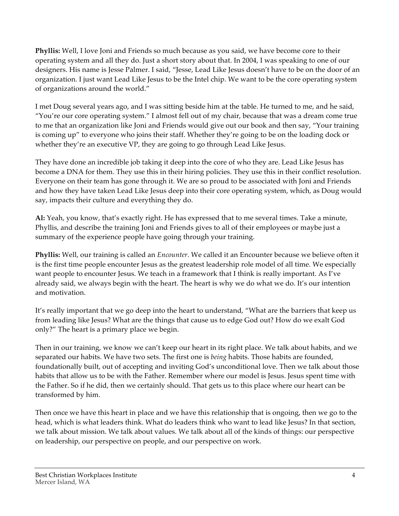**Phyllis:** Well, I love Joni and Friends so much because as you said, we have become core to their operating system and all they do. Just a short story about that. In 2004, I was speaking to one of our designers. His name is Jesse Palmer. I said, "Jesse, Lead Like Jesus doesn't have to be on the door of an organization. I just want Lead Like Jesus to be the Intel chip. We want to be the core operating system of organizations around the world."

I met Doug several years ago, and I was sitting beside him at the table. He turned to me, and he said, "You're our core operating system." I almost fell out of my chair, because that was a dream come true to me that an organization like Joni and Friends would give out our book and then say, "Your training is coming up" to everyone who joins their staff. Whether they're going to be on the loading dock or whether they're an executive VP, they are going to go through Lead Like Jesus.

They have done an incredible job taking it deep into the core of who they are. Lead Like Jesus has become a DNA for them. They use this in their hiring policies. They use this in their conflict resolution. Everyone on their team has gone through it. We are so proud to be associated with Joni and Friends and how they have taken Lead Like Jesus deep into their core operating system, which, as Doug would say, impacts their culture and everything they do.

**Al:** Yeah, you know, that's exactly right. He has expressed that to me several times. Take a minute, Phyllis, and describe the training Joni and Friends gives to all of their employees or maybe just a summary of the experience people have going through your training.

**Phyllis:** Well, our training is called an *Encounter*. We called it an Encounter because we believe often it is the first time people encounter Jesus as the greatest leadership role model of all time. We especially want people to encounter Jesus. We teach in a framework that I think is really important. As I've already said, we always begin with the heart. The heart is why we do what we do. It's our intention and motivation.

It's really important that we go deep into the heart to understand, "What are the barriers that keep us from leading like Jesus? What are the things that cause us to edge God out? How do we exalt God only?" The heart is a primary place we begin.

Then in our training, we know we can't keep our heart in its right place. We talk about habits, and we separated our habits. We have two sets. The first one is *being* habits. Those habits are founded, foundationally built, out of accepting and inviting God's unconditional love. Then we talk about those habits that allow us to be with the Father. Remember where our model is Jesus. Jesus spent time with the Father. So if he did, then we certainly should. That gets us to this place where our heart can be transformed by him.

Then once we have this heart in place and we have this relationship that is ongoing, then we go to the head, which is what leaders think. What do leaders think who want to lead like Jesus? In that section, we talk about mission. We talk about values. We talk about all of the kinds of things: our perspective on leadership, our perspective on people, and our perspective on work.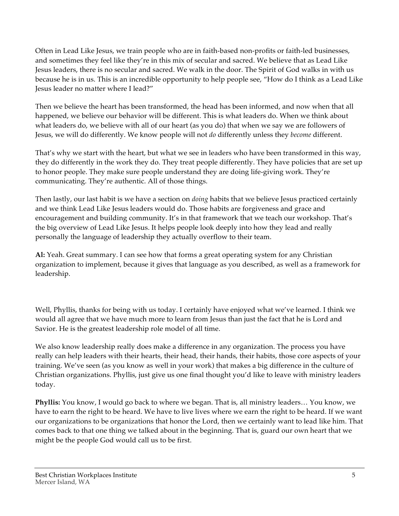Often in Lead Like Jesus, we train people who are in faith-based non-profits or faith-led businesses, and sometimes they feel like they're in this mix of secular and sacred. We believe that as Lead Like Jesus leaders, there is no secular and sacred. We walk in the door. The Spirit of God walks in with us because he is in us. This is an incredible opportunity to help people see, "How do I think as a Lead Like Jesus leader no matter where I lead?"

Then we believe the heart has been transformed, the head has been informed, and now when that all happened, we believe our behavior will be different. This is what leaders do. When we think about what leaders do, we believe with all of our heart (as you do) that when we say we are followers of Jesus, we will do differently. We know people will not *do* differently unless they *become* different.

That's why we start with the heart, but what we see in leaders who have been transformed in this way, they do differently in the work they do. They treat people differently. They have policies that are set up to honor people. They make sure people understand they are doing life-giving work. They're communicating. They're authentic. All of those things.

Then lastly, our last habit is we have a section on *doing* habits that we believe Jesus practiced certainly and we think Lead Like Jesus leaders would do. Those habits are forgiveness and grace and encouragement and building community. It's in that framework that we teach our workshop. That's the big overview of Lead Like Jesus. It helps people look deeply into how they lead and really personally the language of leadership they actually overflow to their team.

**Al:** Yeah. Great summary. I can see how that forms a great operating system for any Christian organization to implement, because it gives that language as you described, as well as a framework for leadership.

Well, Phyllis, thanks for being with us today. I certainly have enjoyed what we've learned. I think we would all agree that we have much more to learn from Jesus than just the fact that he is Lord and Savior. He is the greatest leadership role model of all time.

We also know leadership really does make a difference in any organization. The process you have really can help leaders with their hearts, their head, their hands, their habits, those core aspects of your training. We've seen (as you know as well in your work) that makes a big difference in the culture of Christian organizations. Phyllis, just give us one final thought you'd like to leave with ministry leaders today.

**Phyllis:** You know, I would go back to where we began. That is, all ministry leaders… You know, we have to earn the right to be heard. We have to live lives where we earn the right to be heard. If we want our organizations to be organizations that honor the Lord, then we certainly want to lead like him. That comes back to that one thing we talked about in the beginning. That is, guard our own heart that we might be the people God would call us to be first.